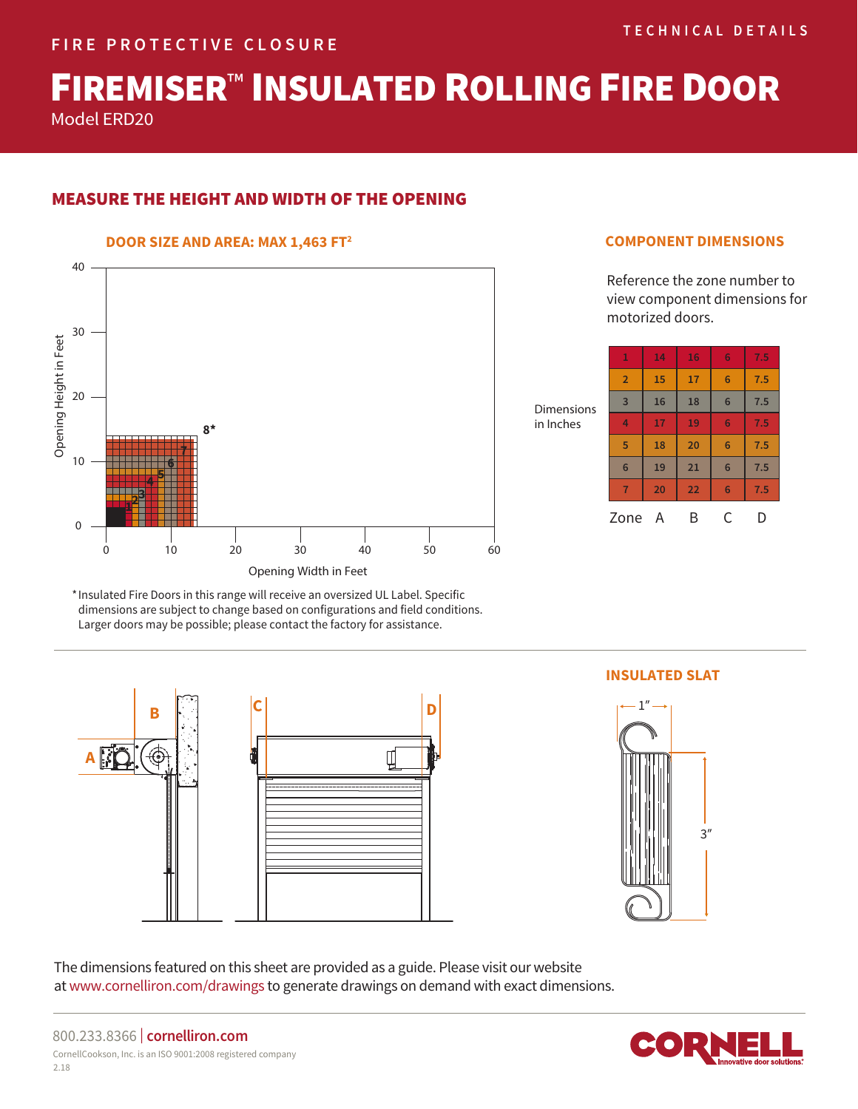# FIREMISER<sup>™</sup> INSULATED ROLLING FIRE DOOR

Model ERD20

# MEASURE THE HEIGHT AND WIDTH OF THE OPENING

## **DOOR SIZE AND AREA: MAX 1,463 FT2**



# **COMPONENT DIMENSIONS**

Reference the zone number to view component dimensions for motorized doors.

| Ś | 1               | 14 | 16 | 6 | 7.5 |
|---|-----------------|----|----|---|-----|
|   | $\overline{2}$  | 15 | 17 | 6 | 7.5 |
|   | $\overline{3}$  | 16 | 18 | 6 | 7.5 |
|   | $\overline{4}$  | 17 | 19 | 6 | 7.5 |
|   | 5               | 18 | 20 | 6 | 7.5 |
|   | $6\phantom{1}6$ | 19 | 21 | 6 | 7.5 |
|   | $\overline{7}$  | 20 | 22 | 6 | 7.5 |
|   | Zone            | Α  | B  | C | D   |

Dimension in Inches

\* Insulated Fire Doors in this range will receive an oversized UL Label. Specific dimensions are subject to change based on configurations and field conditions. Larger doors may be possible; please contact the factory for assistance.



# **INSULATED SLAT**



The dimensions featured on this sheet are provided as a guide. Please visit our website at www.cornelliron.com/drawings to generate drawings on demand with exact dimensions.